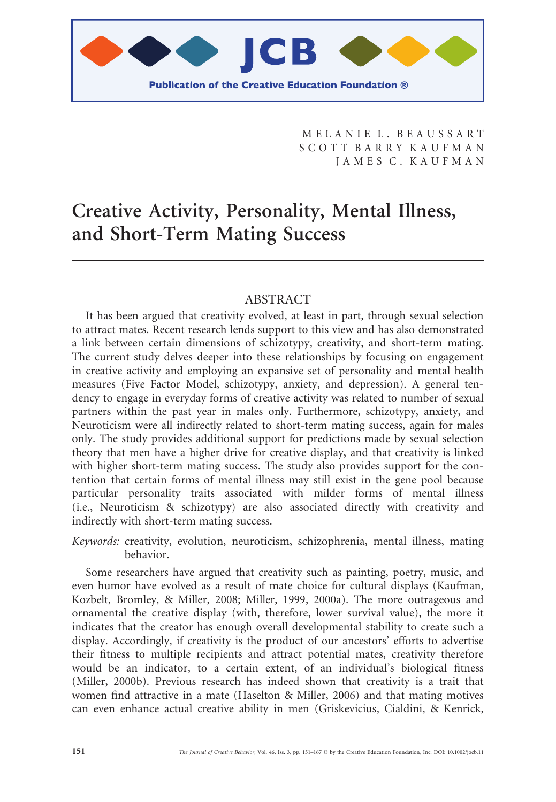

MELANIE L. BEAUSSART SCOTT BARRY KAUFMAN JAMES C. KAUFMAN

# Creative Activity, Personality, Mental Illness, and Short-Term Mating Success

## ABSTRACT

It has been argued that creativity evolved, at least in part, through sexual selection to attract mates. Recent research lends support to this view and has also demonstrated a link between certain dimensions of schizotypy, creativity, and short-term mating. The current study delves deeper into these relationships by focusing on engagement in creative activity and employing an expansive set of personality and mental health measures (Five Factor Model, schizotypy, anxiety, and depression). A general tendency to engage in everyday forms of creative activity was related to number of sexual partners within the past year in males only. Furthermore, schizotypy, anxiety, and Neuroticism were all indirectly related to short-term mating success, again for males only. The study provides additional support for predictions made by sexual selection theory that men have a higher drive for creative display, and that creativity is linked with higher short-term mating success. The study also provides support for the contention that certain forms of mental illness may still exist in the gene pool because particular personality traits associated with milder forms of mental illness (i.e., Neuroticism & schizotypy) are also associated directly with creativity and indirectly with short-term mating success.

Keywords: creativity, evolution, neuroticism, schizophrenia, mental illness, mating behavior.

Some researchers have argued that creativity such as painting, poetry, music, and even humor have evolved as a result of mate choice for cultural displays (Kaufman, Kozbelt, Bromley, & Miller, 2008; Miller, 1999, 2000a). The more outrageous and ornamental the creative display (with, therefore, lower survival value), the more it indicates that the creator has enough overall developmental stability to create such a display. Accordingly, if creativity is the product of our ancestors' efforts to advertise their fitness to multiple recipients and attract potential mates, creativity therefore would be an indicator, to a certain extent, of an individual's biological fitness (Miller, 2000b). Previous research has indeed shown that creativity is a trait that women find attractive in a mate (Haselton & Miller, 2006) and that mating motives can even enhance actual creative ability in men (Griskevicius, Cialdini, & Kenrick,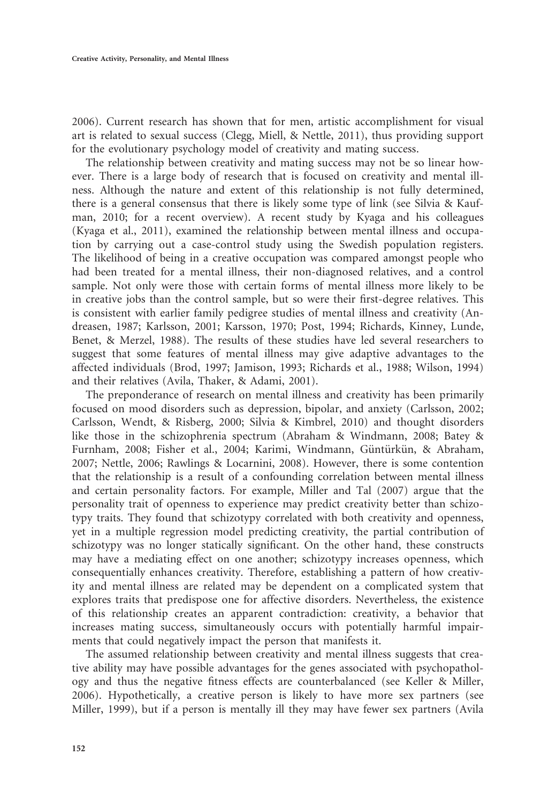2006). Current research has shown that for men, artistic accomplishment for visual art is related to sexual success (Clegg, Miell, & Nettle, 2011), thus providing support for the evolutionary psychology model of creativity and mating success.

The relationship between creativity and mating success may not be so linear however. There is a large body of research that is focused on creativity and mental illness. Although the nature and extent of this relationship is not fully determined, there is a general consensus that there is likely some type of link (see Silvia & Kaufman, 2010; for a recent overview). A recent study by Kyaga and his colleagues (Kyaga et al., 2011), examined the relationship between mental illness and occupation by carrying out a case-control study using the Swedish population registers. The likelihood of being in a creative occupation was compared amongst people who had been treated for a mental illness, their non-diagnosed relatives, and a control sample. Not only were those with certain forms of mental illness more likely to be in creative jobs than the control sample, but so were their first-degree relatives. This is consistent with earlier family pedigree studies of mental illness and creativity (Andreasen, 1987; Karlsson, 2001; Karsson, 1970; Post, 1994; Richards, Kinney, Lunde, Benet, & Merzel, 1988). The results of these studies have led several researchers to suggest that some features of mental illness may give adaptive advantages to the affected individuals (Brod, 1997; Jamison, 1993; Richards et al., 1988; Wilson, 1994) and their relatives (Avila, Thaker, & Adami, 2001).

The preponderance of research on mental illness and creativity has been primarily focused on mood disorders such as depression, bipolar, and anxiety (Carlsson, 2002; Carlsson, Wendt, & Risberg, 2000; Silvia & Kimbrel, 2010) and thought disorders like those in the schizophrenia spectrum (Abraham & Windmann, 2008; Batey & Furnham, 2008; Fisher et al., 2004; Karimi, Windmann, Güntürkün, & Abraham, 2007; Nettle, 2006; Rawlings & Locarnini, 2008). However, there is some contention that the relationship is a result of a confounding correlation between mental illness and certain personality factors. For example, Miller and Tal (2007) argue that the personality trait of openness to experience may predict creativity better than schizotypy traits. They found that schizotypy correlated with both creativity and openness, yet in a multiple regression model predicting creativity, the partial contribution of schizotypy was no longer statically significant. On the other hand, these constructs may have a mediating effect on one another; schizotypy increases openness, which consequentially enhances creativity. Therefore, establishing a pattern of how creativity and mental illness are related may be dependent on a complicated system that explores traits that predispose one for affective disorders. Nevertheless, the existence of this relationship creates an apparent contradiction: creativity, a behavior that increases mating success, simultaneously occurs with potentially harmful impairments that could negatively impact the person that manifests it.

The assumed relationship between creativity and mental illness suggests that creative ability may have possible advantages for the genes associated with psychopathology and thus the negative fitness effects are counterbalanced (see Keller & Miller, 2006). Hypothetically, a creative person is likely to have more sex partners (see Miller, 1999), but if a person is mentally ill they may have fewer sex partners (Avila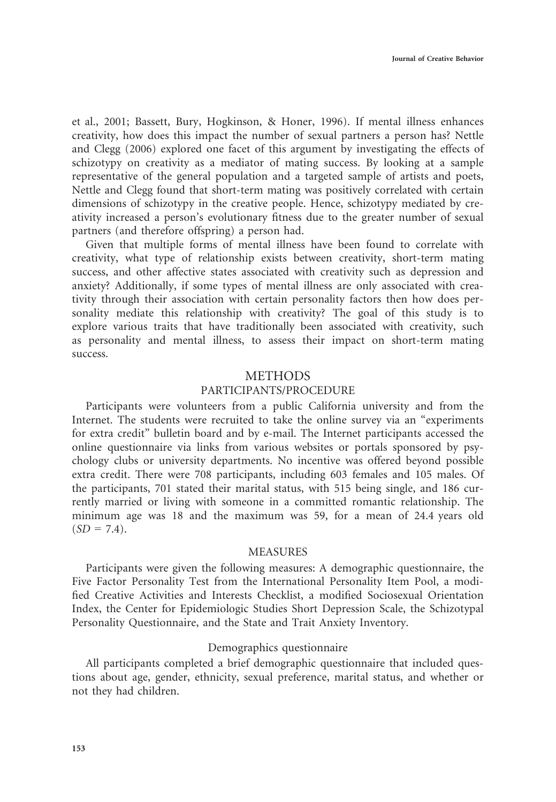et al., 2001; Bassett, Bury, Hogkinson, & Honer, 1996). If mental illness enhances creativity, how does this impact the number of sexual partners a person has? Nettle and Clegg (2006) explored one facet of this argument by investigating the effects of schizotypy on creativity as a mediator of mating success. By looking at a sample representative of the general population and a targeted sample of artists and poets, Nettle and Clegg found that short-term mating was positively correlated with certain dimensions of schizotypy in the creative people. Hence, schizotypy mediated by creativity increased a person's evolutionary fitness due to the greater number of sexual partners (and therefore offspring) a person had.

Given that multiple forms of mental illness have been found to correlate with creativity, what type of relationship exists between creativity, short-term mating success, and other affective states associated with creativity such as depression and anxiety? Additionally, if some types of mental illness are only associated with creativity through their association with certain personality factors then how does personality mediate this relationship with creativity? The goal of this study is to explore various traits that have traditionally been associated with creativity, such as personality and mental illness, to assess their impact on short-term mating success.

#### **METHODS**

### PARTICIPANTS/PROCEDURE

Participants were volunteers from a public California university and from the Internet. The students were recruited to take the online survey via an "experiments for extra credit" bulletin board and by e-mail. The Internet participants accessed the online questionnaire via links from various websites or portals sponsored by psychology clubs or university departments. No incentive was offered beyond possible extra credit. There were 708 participants, including 603 females and 105 males. Of the participants, 701 stated their marital status, with 515 being single, and 186 currently married or living with someone in a committed romantic relationship. The minimum age was 18 and the maximum was 59, for a mean of 24.4 years old  $(SD = 7.4)$ .

#### MEASURES

Participants were given the following measures: A demographic questionnaire, the Five Factor Personality Test from the International Personality Item Pool, a modified Creative Activities and Interests Checklist, a modified Sociosexual Orientation Index, the Center for Epidemiologic Studies Short Depression Scale, the Schizotypal Personality Questionnaire, and the State and Trait Anxiety Inventory.

#### Demographics questionnaire

All participants completed a brief demographic questionnaire that included questions about age, gender, ethnicity, sexual preference, marital status, and whether or not they had children.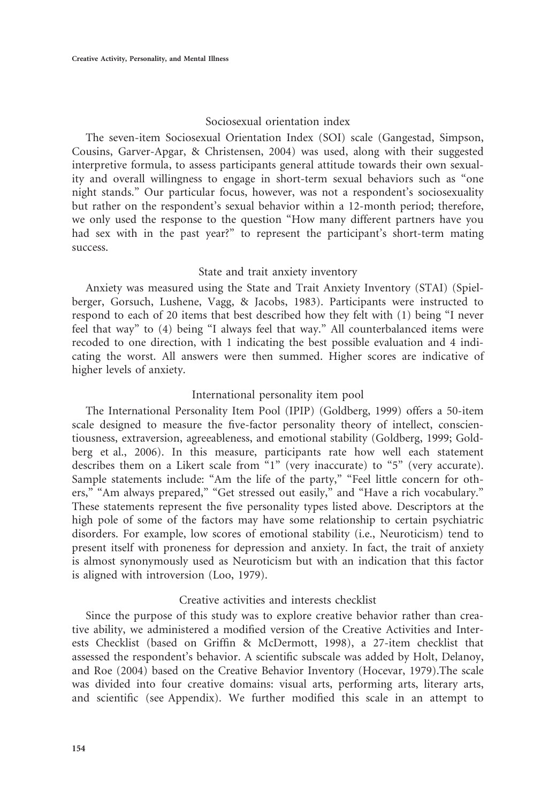#### Sociosexual orientation index

The seven-item Sociosexual Orientation Index (SOI) scale (Gangestad, Simpson, Cousins, Garver-Apgar, & Christensen, 2004) was used, along with their suggested interpretive formula, to assess participants general attitude towards their own sexuality and overall willingness to engage in short-term sexual behaviors such as "one night stands." Our particular focus, however, was not a respondent's sociosexuality but rather on the respondent's sexual behavior within a 12-month period; therefore, we only used the response to the question "How many different partners have you had sex with in the past year?" to represent the participant's short-term mating success.

#### State and trait anxiety inventory

Anxiety was measured using the State and Trait Anxiety Inventory (STAI) (Spielberger, Gorsuch, Lushene, Vagg, & Jacobs, 1983). Participants were instructed to respond to each of 20 items that best described how they felt with (1) being "I never feel that way" to (4) being "I always feel that way." All counterbalanced items were recoded to one direction, with 1 indicating the best possible evaluation and 4 indicating the worst. All answers were then summed. Higher scores are indicative of higher levels of anxiety.

#### International personality item pool

The International Personality Item Pool (IPIP) (Goldberg, 1999) offers a 50-item scale designed to measure the five-factor personality theory of intellect, conscientiousness, extraversion, agreeableness, and emotional stability (Goldberg, 1999; Goldberg et al., 2006). In this measure, participants rate how well each statement describes them on a Likert scale from "1" (very inaccurate) to "5" (very accurate). Sample statements include: "Am the life of the party," "Feel little concern for others," "Am always prepared," "Get stressed out easily," and "Have a rich vocabulary." These statements represent the five personality types listed above. Descriptors at the high pole of some of the factors may have some relationship to certain psychiatric disorders. For example, low scores of emotional stability (i.e., Neuroticism) tend to present itself with proneness for depression and anxiety. In fact, the trait of anxiety is almost synonymously used as Neuroticism but with an indication that this factor is aligned with introversion (Loo, 1979).

#### Creative activities and interests checklist

Since the purpose of this study was to explore creative behavior rather than creative ability, we administered a modified version of the Creative Activities and Interests Checklist (based on Griffin & McDermott, 1998), a 27-item checklist that assessed the respondent's behavior. A scientific subscale was added by Holt, Delanoy, and Roe (2004) based on the Creative Behavior Inventory (Hocevar, 1979).The scale was divided into four creative domains: visual arts, performing arts, literary arts, and scientific (see Appendix). We further modified this scale in an attempt to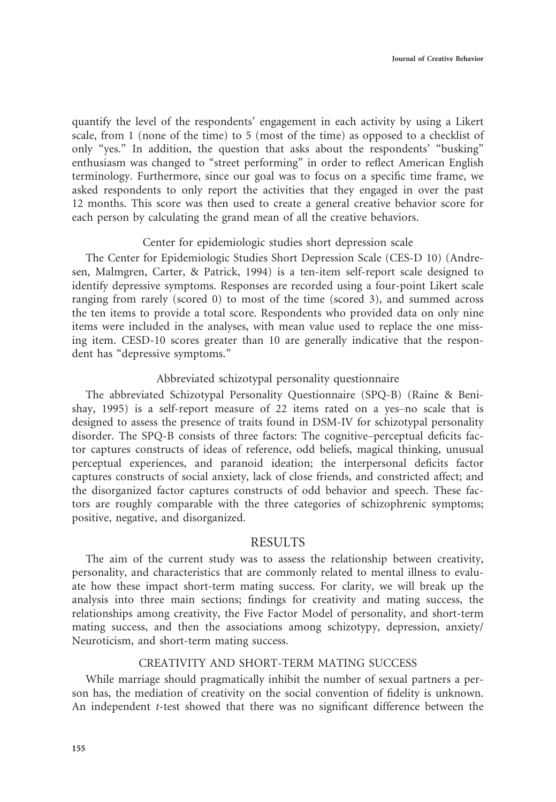quantify the level of the respondents' engagement in each activity by using a Likert scale, from 1 (none of the time) to 5 (most of the time) as opposed to a checklist of only "yes." In addition, the question that asks about the respondents' "busking" enthusiasm was changed to "street performing" in order to reflect American English terminology. Furthermore, since our goal was to focus on a specific time frame, we asked respondents to only report the activities that they engaged in over the past 12 months. This score was then used to create a general creative behavior score for each person by calculating the grand mean of all the creative behaviors.

#### Center for epidemiologic studies short depression scale

The Center for Epidemiologic Studies Short Depression Scale (CES-D 10) (Andresen, Malmgren, Carter, & Patrick, 1994) is a ten-item self-report scale designed to identify depressive symptoms. Responses are recorded using a four-point Likert scale ranging from rarely (scored 0) to most of the time (scored 3), and summed across the ten items to provide a total score. Respondents who provided data on only nine items were included in the analyses, with mean value used to replace the one missing item. CESD-10 scores greater than 10 are generally indicative that the respondent has "depressive symptoms."

#### Abbreviated schizotypal personality questionnaire

The abbreviated Schizotypal Personality Questionnaire (SPQ-B) (Raine & Benishay, 1995) is a self-report measure of 22 items rated on a yes–no scale that is designed to assess the presence of traits found in DSM-IV for schizotypal personality disorder. The SPQ-B consists of three factors: The cognitive–perceptual deficits factor captures constructs of ideas of reference, odd beliefs, magical thinking, unusual perceptual experiences, and paranoid ideation; the interpersonal deficits factor captures constructs of social anxiety, lack of close friends, and constricted affect; and the disorganized factor captures constructs of odd behavior and speech. These factors are roughly comparable with the three categories of schizophrenic symptoms; positive, negative, and disorganized.

#### RESULTS

The aim of the current study was to assess the relationship between creativity, personality, and characteristics that are commonly related to mental illness to evaluate how these impact short-term mating success. For clarity, we will break up the analysis into three main sections; findings for creativity and mating success, the relationships among creativity, the Five Factor Model of personality, and short-term mating success, and then the associations among schizotypy, depression, anxiety/ Neuroticism, and short-term mating success.

#### CREATIVITY AND SHORT-TERM MATING SUCCESS

While marriage should pragmatically inhibit the number of sexual partners a person has, the mediation of creativity on the social convention of fidelity is unknown. An independent  $t$ -test showed that there was no significant difference between the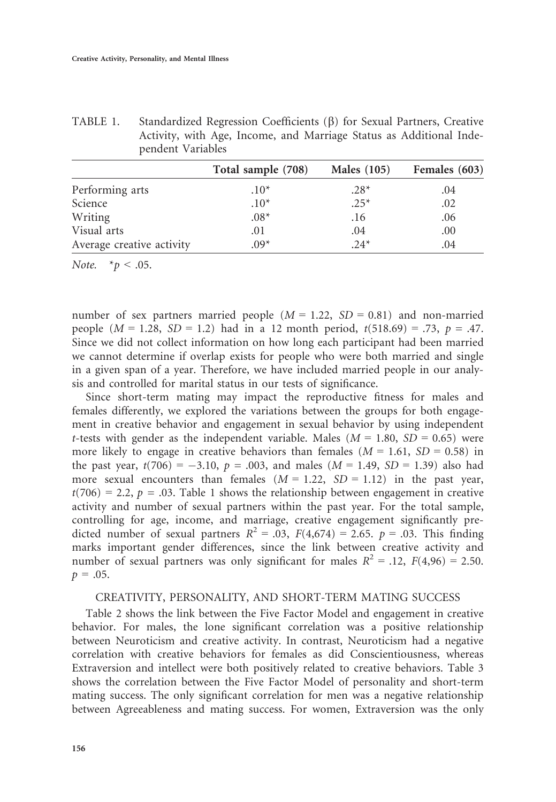| TABLE 1. | Standardized Regression Coefficients $(\beta)$ for Sexual Partners, Creative |
|----------|------------------------------------------------------------------------------|
|          | Activity, with Age, Income, and Marriage Status as Additional Inde-          |
|          | pendent Variables                                                            |

|                           | Total sample (708) | <b>Males</b> (105) | Females (603) |
|---------------------------|--------------------|--------------------|---------------|
| Performing arts           | $.10*$             | $.28*$             | .04           |
| Science                   | $.10*$             | $.25*$             | .02           |
| Writing                   | $.08*$             | .16                | .06           |
| Visual arts               | .01                | .04                | .00           |
| Average creative activity | $.09*$             | $.24*$             | .04           |

Note.  $*_{p} < .05$ .

number of sex partners married people  $(M = 1.22, SD = 0.81)$  and non-married people  $(M = 1.28, SD = 1.2)$  had in a 12 month period,  $t(518.69) = .73, p = .47$ . Since we did not collect information on how long each participant had been married we cannot determine if overlap exists for people who were both married and single in a given span of a year. Therefore, we have included married people in our analysis and controlled for marital status in our tests of significance.

Since short-term mating may impact the reproductive fitness for males and females differently, we explored the variations between the groups for both engagement in creative behavior and engagement in sexual behavior by using independent t-tests with gender as the independent variable. Males  $(M = 1.80, SD = 0.65)$  were more likely to engage in creative behaviors than females ( $M = 1.61$ ,  $SD = 0.58$ ) in the past year,  $t(706) = -3.10$ ,  $p = .003$ , and males  $(M = 1.49, SD = 1.39)$  also had more sexual encounters than females  $(M = 1.22, SD = 1.12)$  in the past year,  $t(706) = 2.2$ ,  $p = .03$ . Table 1 shows the relationship between engagement in creative activity and number of sexual partners within the past year. For the total sample, controlling for age, income, and marriage, creative engagement significantly predicted number of sexual partners  $R^2 = .03$ ,  $F(4,674) = 2.65$ .  $p = .03$ . This finding marks important gender differences, since the link between creative activity and number of sexual partners was only significant for males  $R^2 = .12$ ,  $F(4,96) = 2.50$ .  $p = .05$ .

#### CREATIVITY, PERSONALITY, AND SHORT-TERM MATING SUCCESS

Table 2 shows the link between the Five Factor Model and engagement in creative behavior. For males, the lone significant correlation was a positive relationship between Neuroticism and creative activity. In contrast, Neuroticism had a negative correlation with creative behaviors for females as did Conscientiousness, whereas Extraversion and intellect were both positively related to creative behaviors. Table 3 shows the correlation between the Five Factor Model of personality and short-term mating success. The only significant correlation for men was a negative relationship between Agreeableness and mating success. For women, Extraversion was the only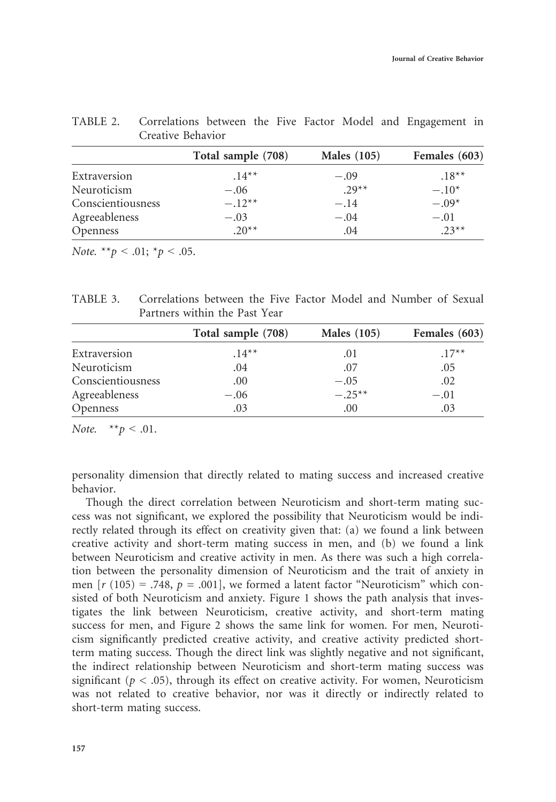|                   | Total sample (708) | <b>Males</b> (105) | Females (603) |
|-------------------|--------------------|--------------------|---------------|
|                   |                    |                    |               |
| Extraversion      | $.14**$            | $-.09$             | $.18**$       |
| Neuroticism       | $-.06$             | $.29**$            | $-.10*$       |
| Conscientiousness | $-.12**$           | $-.14$             | $-.09*$       |
| Agreeableness     | $-.03$             | $-.04$             | $-.01$        |
| <b>Openness</b>   | $.20**$            | .04                | $.23**$       |

TABLE 2. Correlations between the Five Factor Model and Engagement in Creative Behavior

Note. \*\*p < .01; \*p < .05.

TABLE 3. Correlations between the Five Factor Model and Number of Sexual Partners within the Past Year

|                   | Total sample (708) | <b>Males</b> (105) | Females (603) |
|-------------------|--------------------|--------------------|---------------|
| Extraversion      | $.14***$           | .01                | $.17**$       |
| Neuroticism       | .04                | .07                | .05           |
| Conscientiousness | .00                | $-.05$             | .02           |
| Agreeableness     | $-.06$             | $-.25**$           | $-.01$        |
| <b>Openness</b>   | .03                | .00                | .03           |

Note.  $**p < .01$ .

personality dimension that directly related to mating success and increased creative behavior.

Though the direct correlation between Neuroticism and short-term mating success was not significant, we explored the possibility that Neuroticism would be indirectly related through its effect on creativity given that: (a) we found a link between creative activity and short-term mating success in men, and (b) we found a link between Neuroticism and creative activity in men. As there was such a high correlation between the personality dimension of Neuroticism and the trait of anxiety in men  $[r (105) = .748, p = .001]$ , we formed a latent factor "Neuroticism" which consisted of both Neuroticism and anxiety. Figure 1 shows the path analysis that investigates the link between Neuroticism, creative activity, and short-term mating success for men, and Figure 2 shows the same link for women. For men, Neuroticism significantly predicted creative activity, and creative activity predicted shortterm mating success. Though the direct link was slightly negative and not significant, the indirect relationship between Neuroticism and short-term mating success was significant ( $p < .05$ ), through its effect on creative activity. For women, Neuroticism was not related to creative behavior, nor was it directly or indirectly related to short-term mating success.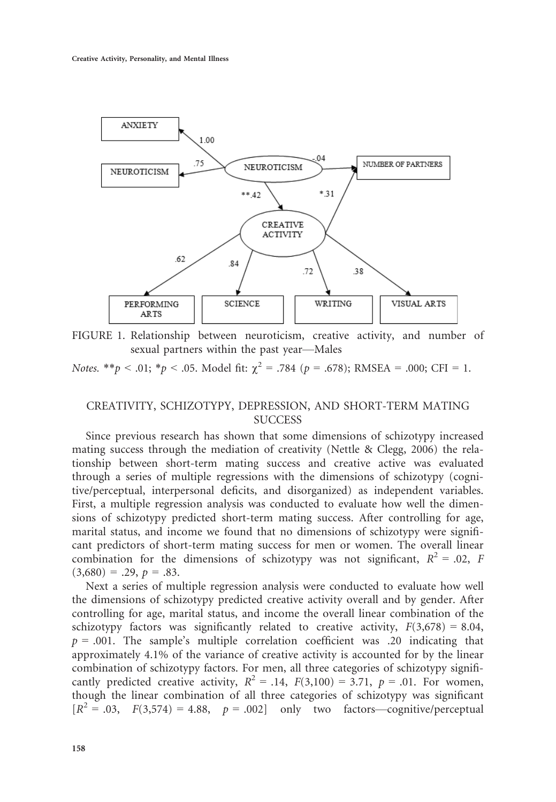

FIGURE 1. Relationship between neuroticism, creative activity, and number of sexual partners within the past year—Males

Notes. \*\*p < .01; \*p < .05. Model fit:  $\chi^2$  = .784 (p = .678); RMSEA = .000; CFI = 1.

## CREATIVITY, SCHIZOTYPY, DEPRESSION, AND SHORT-TERM MATING **SUCCESS**

Since previous research has shown that some dimensions of schizotypy increased mating success through the mediation of creativity (Nettle & Clegg, 2006) the relationship between short-term mating success and creative active was evaluated through a series of multiple regressions with the dimensions of schizotypy (cognitive/perceptual, interpersonal deficits, and disorganized) as independent variables. First, a multiple regression analysis was conducted to evaluate how well the dimensions of schizotypy predicted short-term mating success. After controlling for age, marital status, and income we found that no dimensions of schizotypy were significant predictors of short-term mating success for men or women. The overall linear combination for the dimensions of schizotypy was not significant,  $R^2 = .02$ , F  $(3,680) = .29, p = .83.$ 

Next a series of multiple regression analysis were conducted to evaluate how well the dimensions of schizotypy predicted creative activity overall and by gender. After controlling for age, marital status, and income the overall linear combination of the schizotypy factors was significantly related to creative activity,  $F(3,678) = 8.04$ ,  $p = .001$ . The sample's multiple correlation coefficient was .20 indicating that approximately 4.1% of the variance of creative activity is accounted for by the linear combination of schizotypy factors. For men, all three categories of schizotypy significantly predicted creative activity,  $R^2 = .14$ ,  $F(3,100) = 3.71$ ,  $p = .01$ . For women, though the linear combination of all three categories of schizotypy was significant  $[R^2 = .03, F(3,574) = 4.88, p = .002]$  only two factors—cognitive/perceptual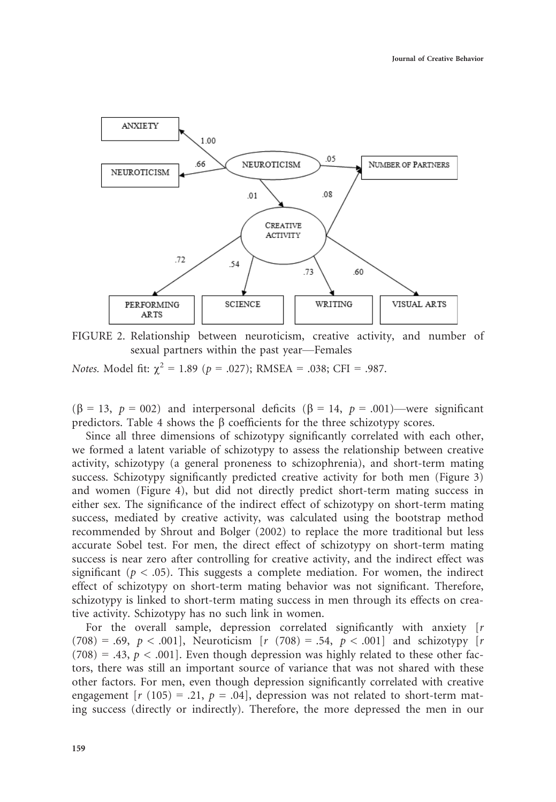

FIGURE 2. Relationship between neuroticism, creative activity, and number of sexual partners within the past year—Females

Notes. Model fit:  $\chi^2 = 1.89$  ( $p = .027$ ); RMSEA = .038; CFI = .987.

 $(\beta = 13, p = 002)$  and interpersonal deficits  $(\beta = 14, p = .001)$ —were significant predictors. Table 4 shows the  $\beta$  coefficients for the three schizotypy scores.

Since all three dimensions of schizotypy significantly correlated with each other, we formed a latent variable of schizotypy to assess the relationship between creative activity, schizotypy (a general proneness to schizophrenia), and short-term mating success. Schizotypy significantly predicted creative activity for both men (Figure 3) and women (Figure 4), but did not directly predict short-term mating success in either sex. The significance of the indirect effect of schizotypy on short-term mating success, mediated by creative activity, was calculated using the bootstrap method recommended by Shrout and Bolger (2002) to replace the more traditional but less accurate Sobel test. For men, the direct effect of schizotypy on short-term mating success is near zero after controlling for creative activity, and the indirect effect was significant ( $p < .05$ ). This suggests a complete mediation. For women, the indirect effect of schizotypy on short-term mating behavior was not significant. Therefore, schizotypy is linked to short-term mating success in men through its effects on creative activity. Schizotypy has no such link in women.

For the overall sample, depression correlated significantly with anxiety [r (708) = .69,  $p < .001$ ], Neuroticism  $[r (708) = .54, p < .001]$  and schizotypy  $[r$  $(708) = .43$ ,  $p < .001$ . Even though depression was highly related to these other factors, there was still an important source of variance that was not shared with these other factors. For men, even though depression significantly correlated with creative engagement  $[r (105) = .21, p = .04]$ , depression was not related to short-term mating success (directly or indirectly). Therefore, the more depressed the men in our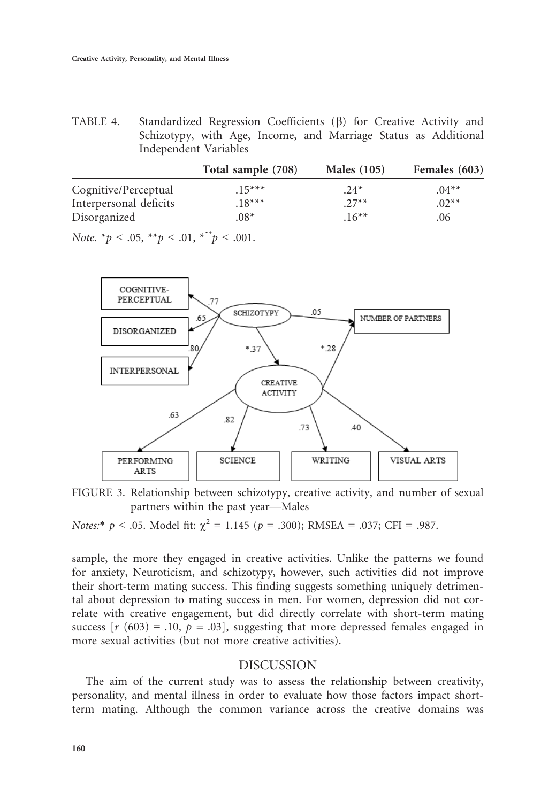TABLE 4. Standardized Regression Coefficients  $(\beta)$  for Creative Activity and Schizotypy, with Age, Income, and Marriage Status as Additional Independent Variables

|                        | Total sample (708) | <b>Males</b> (105) | Females (603) |
|------------------------|--------------------|--------------------|---------------|
| Cognitive/Perceptual   | $.15***$           | $.24*$             | $.04***$      |
| Interpersonal deficits | $.18***$           | $.27**$            | $.02**$       |
| Disorganized           | $.08*$             | $16^{**}$          | .06           |

Note.  $*_p$  < .05,  $*_p$  < .01,  $*_p$  < .001.



FIGURE 3. Relationship between schizotypy, creative activity, and number of sexual partners within the past year—Males

Notes:\*  $p < .05$ . Model fit:  $\chi^2 = 1.145$  ( $p = .300$ ); RMSEA = .037; CFI = .987.

sample, the more they engaged in creative activities. Unlike the patterns we found for anxiety, Neuroticism, and schizotypy, however, such activities did not improve their short-term mating success. This finding suggests something uniquely detrimental about depression to mating success in men. For women, depression did not correlate with creative engagement, but did directly correlate with short-term mating success  $[r (603) = .10, p = .03]$ , suggesting that more depressed females engaged in more sexual activities (but not more creative activities).

#### DISCUSSION

The aim of the current study was to assess the relationship between creativity, personality, and mental illness in order to evaluate how those factors impact shortterm mating. Although the common variance across the creative domains was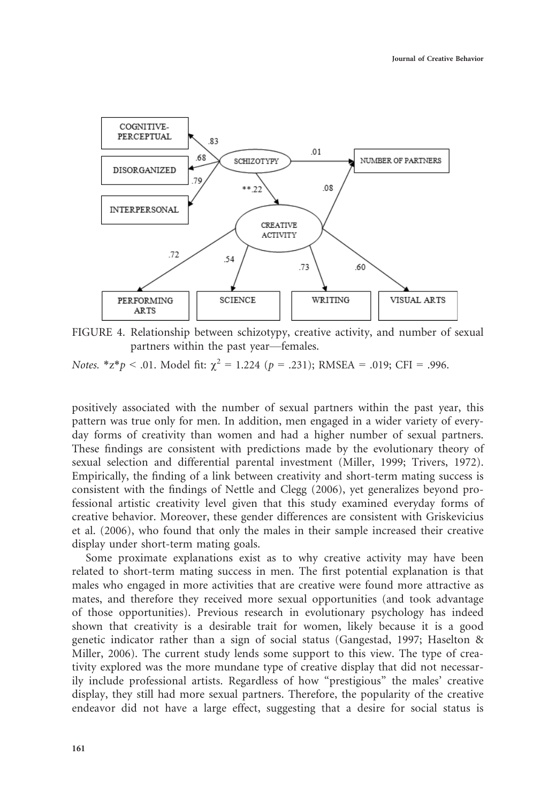

FIGURE 4. Relationship between schizotypy, creative activity, and number of sexual partners within the past year—females.

Notes. \* $z^*p$  < .01. Model fit:  $\chi^2 = 1.224$  ( $p = .231$ ); RMSEA = .019; CFI = .996.

positively associated with the number of sexual partners within the past year, this pattern was true only for men. In addition, men engaged in a wider variety of everyday forms of creativity than women and had a higher number of sexual partners. These findings are consistent with predictions made by the evolutionary theory of sexual selection and differential parental investment (Miller, 1999; Trivers, 1972). Empirically, the finding of a link between creativity and short-term mating success is consistent with the findings of Nettle and Clegg (2006), yet generalizes beyond professional artistic creativity level given that this study examined everyday forms of creative behavior. Moreover, these gender differences are consistent with Griskevicius et al. (2006), who found that only the males in their sample increased their creative display under short-term mating goals.

Some proximate explanations exist as to why creative activity may have been related to short-term mating success in men. The first potential explanation is that males who engaged in more activities that are creative were found more attractive as mates, and therefore they received more sexual opportunities (and took advantage of those opportunities). Previous research in evolutionary psychology has indeed shown that creativity is a desirable trait for women, likely because it is a good genetic indicator rather than a sign of social status (Gangestad, 1997; Haselton & Miller, 2006). The current study lends some support to this view. The type of creativity explored was the more mundane type of creative display that did not necessarily include professional artists. Regardless of how "prestigious" the males' creative display, they still had more sexual partners. Therefore, the popularity of the creative endeavor did not have a large effect, suggesting that a desire for social status is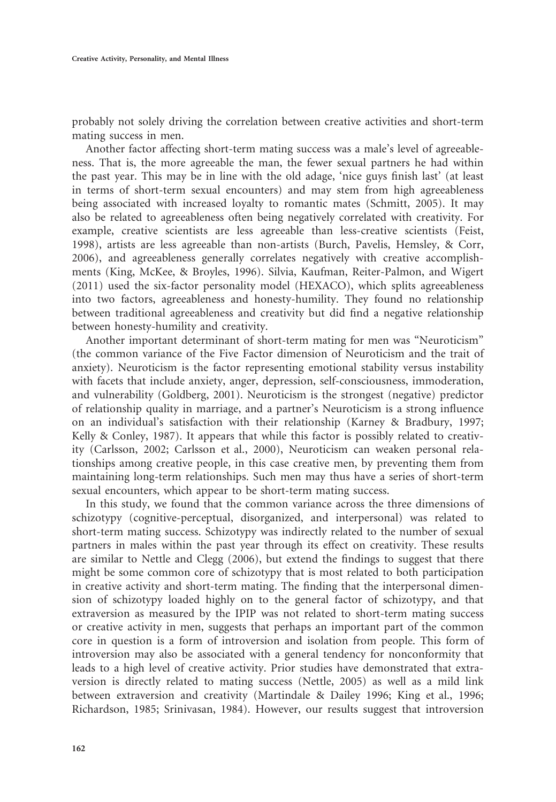probably not solely driving the correlation between creative activities and short-term mating success in men.

Another factor affecting short-term mating success was a male's level of agreeableness. That is, the more agreeable the man, the fewer sexual partners he had within the past year. This may be in line with the old adage, 'nice guys finish last' (at least in terms of short-term sexual encounters) and may stem from high agreeableness being associated with increased loyalty to romantic mates (Schmitt, 2005). It may also be related to agreeableness often being negatively correlated with creativity. For example, creative scientists are less agreeable than less-creative scientists (Feist, 1998), artists are less agreeable than non-artists (Burch, Pavelis, Hemsley, & Corr, 2006), and agreeableness generally correlates negatively with creative accomplishments (King, McKee, & Broyles, 1996). Silvia, Kaufman, Reiter-Palmon, and Wigert (2011) used the six-factor personality model (HEXACO), which splits agreeableness into two factors, agreeableness and honesty-humility. They found no relationship between traditional agreeableness and creativity but did find a negative relationship between honesty-humility and creativity.

Another important determinant of short-term mating for men was "Neuroticism" (the common variance of the Five Factor dimension of Neuroticism and the trait of anxiety). Neuroticism is the factor representing emotional stability versus instability with facets that include anxiety, anger, depression, self-consciousness, immoderation, and vulnerability (Goldberg, 2001). Neuroticism is the strongest (negative) predictor of relationship quality in marriage, and a partner's Neuroticism is a strong influence on an individual's satisfaction with their relationship (Karney & Bradbury, 1997; Kelly & Conley, 1987). It appears that while this factor is possibly related to creativity (Carlsson, 2002; Carlsson et al., 2000), Neuroticism can weaken personal relationships among creative people, in this case creative men, by preventing them from maintaining long-term relationships. Such men may thus have a series of short-term sexual encounters, which appear to be short-term mating success.

In this study, we found that the common variance across the three dimensions of schizotypy (cognitive-perceptual, disorganized, and interpersonal) was related to short-term mating success. Schizotypy was indirectly related to the number of sexual partners in males within the past year through its effect on creativity. These results are similar to Nettle and Clegg (2006), but extend the findings to suggest that there might be some common core of schizotypy that is most related to both participation in creative activity and short-term mating. The finding that the interpersonal dimension of schizotypy loaded highly on to the general factor of schizotypy, and that extraversion as measured by the IPIP was not related to short-term mating success or creative activity in men, suggests that perhaps an important part of the common core in question is a form of introversion and isolation from people. This form of introversion may also be associated with a general tendency for nonconformity that leads to a high level of creative activity. Prior studies have demonstrated that extraversion is directly related to mating success (Nettle, 2005) as well as a mild link between extraversion and creativity (Martindale & Dailey 1996; King et al., 1996; Richardson, 1985; Srinivasan, 1984). However, our results suggest that introversion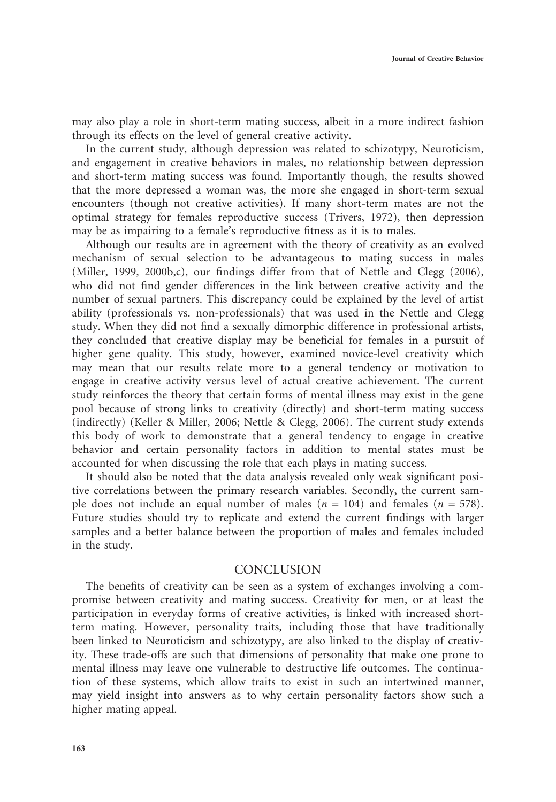may also play a role in short-term mating success, albeit in a more indirect fashion through its effects on the level of general creative activity.

In the current study, although depression was related to schizotypy, Neuroticism, and engagement in creative behaviors in males, no relationship between depression and short-term mating success was found. Importantly though, the results showed that the more depressed a woman was, the more she engaged in short-term sexual encounters (though not creative activities). If many short-term mates are not the optimal strategy for females reproductive success (Trivers, 1972), then depression may be as impairing to a female's reproductive fitness as it is to males.

Although our results are in agreement with the theory of creativity as an evolved mechanism of sexual selection to be advantageous to mating success in males (Miller, 1999, 2000b,c), our findings differ from that of Nettle and Clegg (2006), who did not find gender differences in the link between creative activity and the number of sexual partners. This discrepancy could be explained by the level of artist ability (professionals vs. non-professionals) that was used in the Nettle and Clegg study. When they did not find a sexually dimorphic difference in professional artists, they concluded that creative display may be beneficial for females in a pursuit of higher gene quality. This study, however, examined novice-level creativity which may mean that our results relate more to a general tendency or motivation to engage in creative activity versus level of actual creative achievement. The current study reinforces the theory that certain forms of mental illness may exist in the gene pool because of strong links to creativity (directly) and short-term mating success (indirectly) (Keller & Miller, 2006; Nettle & Clegg, 2006). The current study extends this body of work to demonstrate that a general tendency to engage in creative behavior and certain personality factors in addition to mental states must be accounted for when discussing the role that each plays in mating success.

It should also be noted that the data analysis revealed only weak significant positive correlations between the primary research variables. Secondly, the current sample does not include an equal number of males ( $n = 104$ ) and females ( $n = 578$ ). Future studies should try to replicate and extend the current findings with larger samples and a better balance between the proportion of males and females included in the study.

#### **CONCLUSION**

The benefits of creativity can be seen as a system of exchanges involving a compromise between creativity and mating success. Creativity for men, or at least the participation in everyday forms of creative activities, is linked with increased shortterm mating. However, personality traits, including those that have traditionally been linked to Neuroticism and schizotypy, are also linked to the display of creativity. These trade-offs are such that dimensions of personality that make one prone to mental illness may leave one vulnerable to destructive life outcomes. The continuation of these systems, which allow traits to exist in such an intertwined manner, may yield insight into answers as to why certain personality factors show such a higher mating appeal.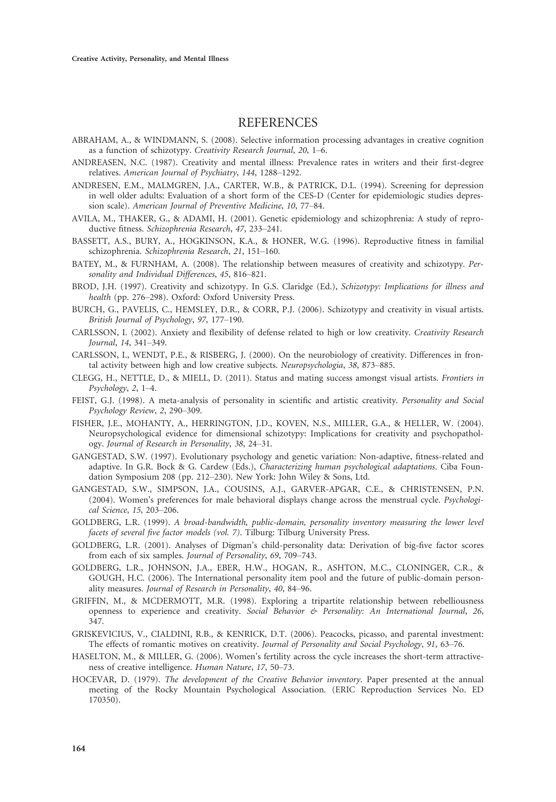## **REFERENCES**

- ABRAHAM, A., & WINDMANN, S. (2008). Selective information processing advantages in creative cognition as a function of schizotypy. Creativity Research Journal, 20, 1–6.
- ANDREASEN, N.C. (1987). Creativity and mental illness: Prevalence rates in writers and their first-degree relatives. American Journal of Psychiatry, 144, 1288–1292.
- ANDRESEN, E.M., MALMGREN, J.A., CARTER, W.B., & PATRICK, D.L. (1994). Screening for depression in well older adults: Evaluation of a short form of the CES-D (Center for epidemiologic studies depression scale). American Journal of Preventive Medicine, 10, 77–84.
- AVILA, M., THAKER, G., & ADAMI, H. (2001). Genetic epidemiology and schizophrenia: A study of reproductive fitness. Schizophrenia Research, 47, 233–241.
- BASSETT, A.S., BURY, A., HOGKINSON, K.A., & HONER, W.G. (1996). Reproductive fitness in familial schizophrenia. Schizophrenia Research, 21, 151–160.
- BATEY, M., & FURNHAM, A. (2008). The relationship between measures of creativity and schizotypy. Personality and Individual Differences, 45, 816–821.
- BROD, J.H. (1997). Creativity and schizotypy. In G.S. Claridge (Ed.), Schizotypy: Implications for illness and health (pp. 276–298). Oxford: Oxford University Press.
- BURCH, G., PAVELIS, C., HEMSLEY, D.R., & CORR, P.J. (2006). Schizotypy and creativity in visual artists. British Journal of Psychology, 97, 177–190.
- CARLSSON, I. (2002). Anxiety and flexibility of defense related to high or low creativity. Creativity Research Journal, 14, 341–349.
- CARLSSON, I., WENDT, P.E., & RISBERG, J. (2000). On the neurobiology of creativity. Differences in frontal activity between high and low creative subjects. Neuropsychologia, 38, 873–885.
- CLEGG, H., NETTLE, D., & MIELL, D. (2011). Status and mating success amongst visual artists. Frontiers in Psychology, 2, 1–4.
- FEIST, G.J. (1998). A meta-analysis of personality in scientific and artistic creativity. Personality and Social Psychology Review, 2, 290–309.
- FISHER, J.E., MOHANTY, A., HERRINGTON, J.D., KOVEN, N.S., MILLER, G.A., & HELLER, W. (2004). Neuropsychological evidence for dimensional schizotypy: Implications for creativity and psychopathology. Journal of Research in Personality, 38, 24–31.
- GANGESTAD, S.W. (1997). Evolutionary psychology and genetic variation: Non-adaptive, fitness-related and adaptive. In G.R. Bock & G. Cardew (Eds.), Characterizing human psychological adaptations. Ciba Foundation Symposium 208 (pp. 212–230). New York: John Wiley & Sons, Ltd.
- GANGESTAD, S.W., SIMPSON, J.A., COUSINS, A.J., GARVER-APGAR, C.E., & CHRISTENSEN, P.N. (2004). Women's preferences for male behavioral displays change across the menstrual cycle. Psychological Science, 15, 203–206.
- GOLDBERG, L.R. (1999). A broad-bandwidth, public-domain, personality inventory measuring the lower level facets of several five factor models (vol. 7). Tilburg: Tilburg University Press.
- GOLDBERG, L.R. (2001). Analyses of Digman's child-personality data: Derivation of big-five factor scores from each of six samples. Journal of Personality, 69, 709–743.
- GOLDBERG, L.R., JOHNSON, J.A., EBER, H.W., HOGAN, R., ASHTON, M.C., CLONINGER, C.R., & GOUGH, H.C. (2006). The International personality item pool and the future of public-domain personality measures. Journal of Research in Personality, 40, 84–96.
- GRIFFIN, M., & MCDERMOTT, M.R. (1998). Exploring a tripartite relationship between rebelliousness openness to experience and creativity. Social Behavior & Personality: An International Journal, 26, 347.
- GRISKEVICIUS, V., CIALDINI, R.B., & KENRICK, D.T. (2006). Peacocks, picasso, and parental investment: The effects of romantic motives on creativity. Journal of Personality and Social Psychology, 91, 63–76.
- HASELTON, M., & MILLER, G. (2006). Women's fertility across the cycle increases the short-term attractiveness of creative intelligence. Human Nature, 17, 50–73.
- HOCEVAR, D. (1979). The development of the Creative Behavior inventory. Paper presented at the annual meeting of the Rocky Mountain Psychological Association. (ERIC Reproduction Services No. ED 170350).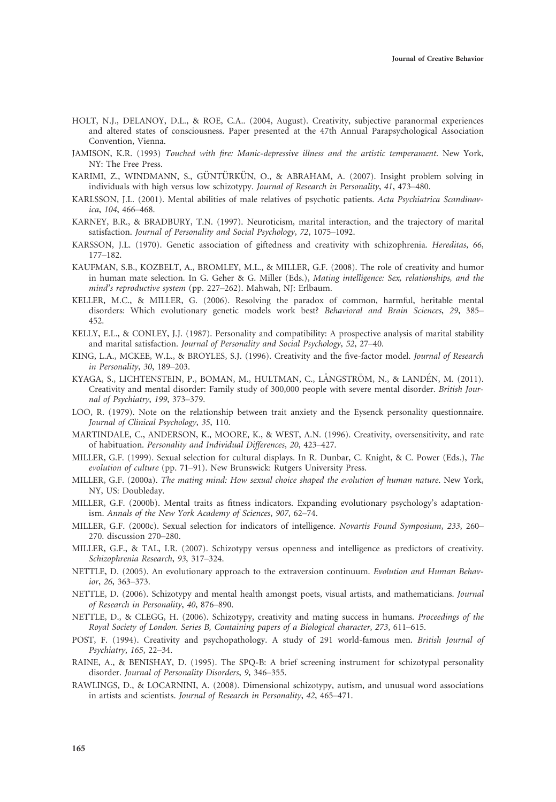- HOLT, N.J., DELANOY, D.L., & ROE, C.A.. (2004, August). Creativity, subjective paranormal experiences and altered states of consciousness. Paper presented at the 47th Annual Parapsychological Association Convention, Vienna.
- JAMISON, K.R. (1993) Touched with fire: Manic-depressive illness and the artistic temperament. New York, NY: The Free Press.
- KARIMI, Z., WINDMANN, S., GÜNTÜRKÜN, O., & ABRAHAM, A. (2007). Insight problem solving in individuals with high versus low schizotypy. Journal of Research in Personality, 41, 473–480.
- KARLSSON, J.L. (2001). Mental abilities of male relatives of psychotic patients. Acta Psychiatrica Scandinavica, 104, 466–468.
- KARNEY, B.R., & BRADBURY, T.N. (1997). Neuroticism, marital interaction, and the trajectory of marital satisfaction. Journal of Personality and Social Psychology, 72, 1075–1092.
- KARSSON, J.L. (1970). Genetic association of giftedness and creativity with schizophrenia. Hereditas, 66, 177–182.
- KAUFMAN, S.B., KOZBELT, A., BROMLEY, M.L., & MILLER, G.F. (2008). The role of creativity and humor in human mate selection. In G. Geher & G. Miller (Eds.), Mating intelligence: Sex, relationships, and the mind's reproductive system (pp. 227–262). Mahwah, NJ: Erlbaum.
- KELLER, M.C., & MILLER, G. (2006). Resolving the paradox of common, harmful, heritable mental disorders: Which evolutionary genetic models work best? Behavioral and Brain Sciences, 29, 385– 452.
- KELLY, E.L., & CONLEY, J.J. (1987). Personality and compatibility: A prospective analysis of marital stability and marital satisfaction. Journal of Personality and Social Psychology, 52, 27–40.
- KING, L.A., MCKEE, W.L., & BROYLES, S.J. (1996). Creativity and the five-factor model. Journal of Research in Personality, 30, 189–203.
- KYAGA, S., LICHTENSTEIN, P., BOMAN, M., HULTMAN, C., LÅNGSTRÖM, N., & LANDÉN, M. (2011). Creativity and mental disorder: Family study of 300,000 people with severe mental disorder. British Journal of Psychiatry, 199, 373–379.
- LOO, R. (1979). Note on the relationship between trait anxiety and the Eysenck personality questionnaire. Journal of Clinical Psychology, 35, 110.
- MARTINDALE, C., ANDERSON, K., MOORE, K., & WEST, A.N. (1996). Creativity, oversensitivity, and rate of habituation. Personality and Individual Differences, 20, 423–427.
- MILLER, G.F. (1999). Sexual selection for cultural displays. In R. Dunbar, C. Knight, & C. Power (Eds.), The evolution of culture (pp. 71–91). New Brunswick: Rutgers University Press.
- MILLER, G.F. (2000a). The mating mind: How sexual choice shaped the evolution of human nature. New York, NY, US: Doubleday.
- MILLER, G.F. (2000b). Mental traits as fitness indicators. Expanding evolutionary psychology's adaptationism. Annals of the New York Academy of Sciences, 907, 62–74.
- MILLER, G.F. (2000c). Sexual selection for indicators of intelligence. Novartis Found Symposium, 233, 260-270. discussion 270–280.
- MILLER, G.F., & TAL, I.R. (2007). Schizotypy versus openness and intelligence as predictors of creativity. Schizophrenia Research, 93, 317–324.
- NETTLE, D. (2005). An evolutionary approach to the extraversion continuum. Evolution and Human Behavior, 26, 363–373.
- NETTLE, D. (2006). Schizotypy and mental health amongst poets, visual artists, and mathematicians. Journal of Research in Personality, 40, 876–890.
- NETTLE, D., & CLEGG, H. (2006). Schizotypy, creativity and mating success in humans. Proceedings of the Royal Society of London. Series B, Containing papers of a Biological character, 273, 611–615.
- POST, F. (1994). Creativity and psychopathology. A study of 291 world-famous men. British Journal of Psychiatry, 165, 22–34.
- RAINE, A., & BENISHAY, D. (1995). The SPQ-B: A brief screening instrument for schizotypal personality disorder. Journal of Personality Disorders, 9, 346–355.
- RAWLINGS, D., & LOCARNINI, A. (2008). Dimensional schizotypy, autism, and unusual word associations in artists and scientists. Journal of Research in Personality, 42, 465–471.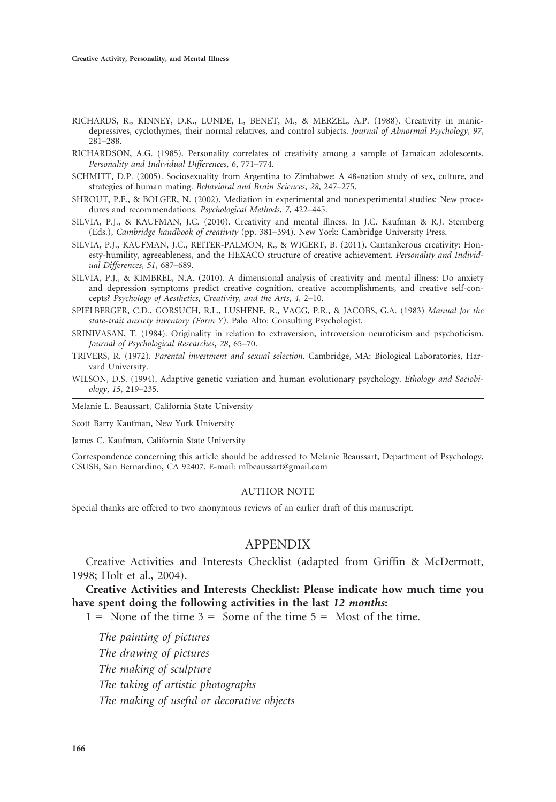- RICHARDS, R., KINNEY, D.K., LUNDE, I., BENET, M., & MERZEL, A.P. (1988). Creativity in manicdepressives, cyclothymes, their normal relatives, and control subjects. Journal of Abnormal Psychology, 97, 281–288.
- RICHARDSON, A.G. (1985). Personality correlates of creativity among a sample of Jamaican adolescents. Personality and Individual Differences, 6, 771–774.
- SCHMITT, D.P. (2005). Sociosexuality from Argentina to Zimbabwe: A 48-nation study of sex, culture, and strategies of human mating. Behavioral and Brain Sciences, 28, 247–275.
- SHROUT, P.E., & BOLGER, N. (2002). Mediation in experimental and nonexperimental studies: New procedures and recommendations. Psychological Methods, 7, 422–445.
- SILVIA, P.J., & KAUFMAN, J.C. (2010). Creativity and mental illness. In J.C. Kaufman & R.J. Sternberg (Eds.), Cambridge handbook of creativity (pp. 381–394). New York: Cambridge University Press.
- SILVIA, P.J., KAUFMAN, J.C., REITER-PALMON, R., & WIGERT, B. (2011). Cantankerous creativity: Honesty-humility, agreeableness, and the HEXACO structure of creative achievement. Personality and Individual Differences, 51, 687–689.
- SILVIA, P.J., & KIMBREL, N.A. (2010). A dimensional analysis of creativity and mental illness: Do anxiety and depression symptoms predict creative cognition, creative accomplishments, and creative self-concepts? Psychology of Aesthetics, Creativity, and the Arts, 4, 2–10.
- SPIELBERGER, C.D., GORSUCH, R.L., LUSHENE, R., VAGG, P.R., & JACOBS, G.A. (1983) Manual for the state-trait anxiety inventory (Form Y). Palo Alto: Consulting Psychologist.
- SRINIVASAN, T. (1984). Originality in relation to extraversion, introversion neuroticism and psychoticism. Journal of Psychological Researches, 28, 65–70.
- TRIVERS, R. (1972). Parental investment and sexual selection. Cambridge, MA: Biological Laboratories, Harvard University.
- WILSON, D.S. (1994). Adaptive genetic variation and human evolutionary psychology. Ethology and Sociobiology, 15, 219–235.

Melanie L. Beaussart, California State University

Scott Barry Kaufman, New York University

James C. Kaufman, California State University

Correspondence concerning this article should be addressed to Melanie Beaussart, Department of Psychology, CSUSB, San Bernardino, CA 92407. E-mail: mlbeaussart@gmail.com

#### AUTHOR NOTE

Special thanks are offered to two anonymous reviews of an earlier draft of this manuscript.

## APPENDIX

Creative Activities and Interests Checklist (adapted from Griffin & McDermott, 1998; Holt et al., 2004).

#### Creative Activities and Interests Checklist: Please indicate how much time you have spent doing the following activities in the last 12 *months*:

 $1 =$  None of the time  $3 =$  Some of the time  $5 =$  Most of the time.

The painting of pictures The drawing of pictures The making of sculpture The taking of artistic photographs The making of useful or decorative objects